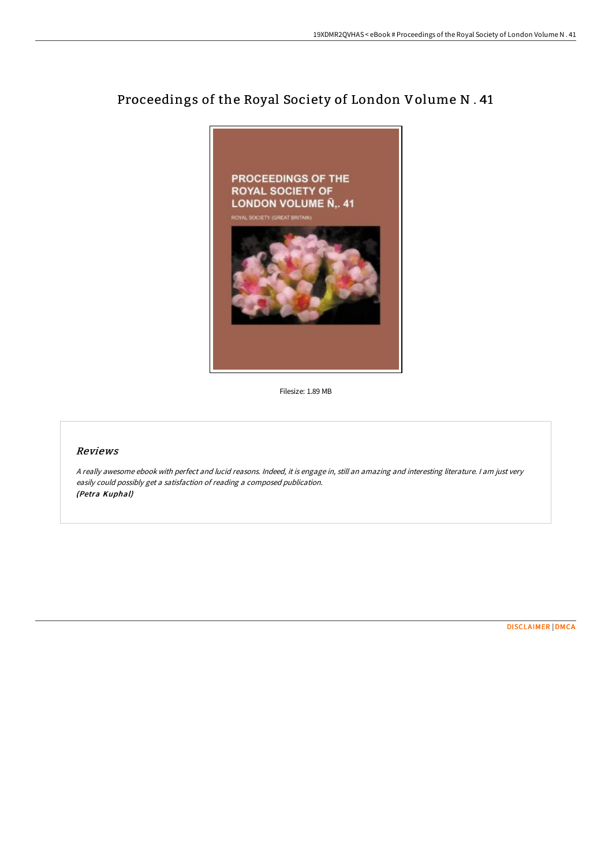## Proceedings of the Royal Society of London Volume N . 41



Filesize: 1.89 MB

## Reviews

<sup>A</sup> really awesome ebook with perfect and lucid reasons. Indeed, it is engage in, still an amazing and interesting literature. <sup>I</sup> am just very easily could possibly get <sup>a</sup> satisfaction of reading <sup>a</sup> composed publication. (Petra Kuphal)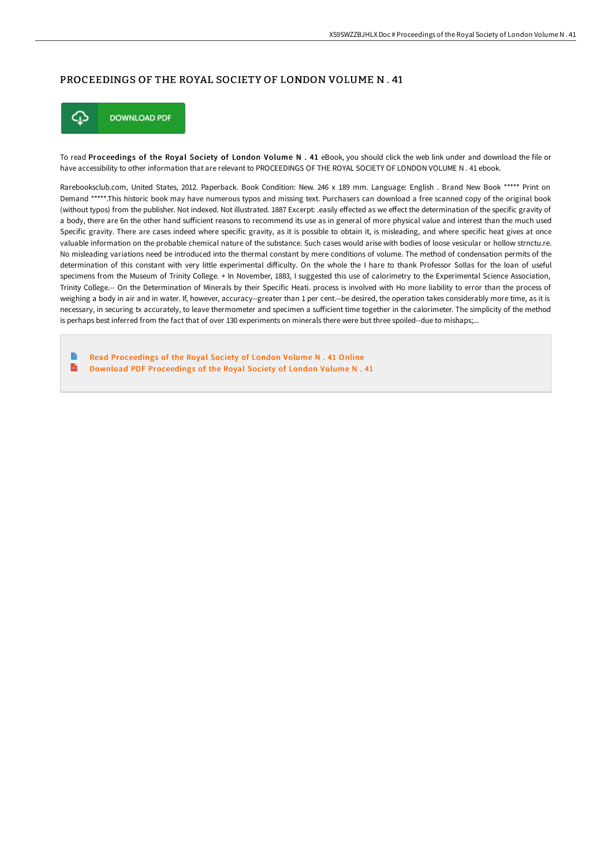## PROCEEDINGS OF THE ROYAL SOCIETY OF LONDON VOLUME N . 41



To read Proceedings of the Royal Society of London Volume N . 41 eBook, you should click the web link under and download the file or have accessibility to other information that are relevant to PROCEEDINGS OF THE ROYAL SOCIETY OF LONDON VOLUME N . 41 ebook.

Rarebooksclub.com, United States, 2012. Paperback. Book Condition: New. 246 x 189 mm. Language: English . Brand New Book \*\*\*\*\* Print on Demand \*\*\*\*\*.This historic book may have numerous typos and missing text. Purchasers can download a free scanned copy of the original book (without typos) from the publisher. Not indexed. Not illustrated. 1887 Excerpt: .easily eFected as we eFect the determination of the specific gravity of a body, there are 6n the other hand sufficient reasons to recommend its use as in general of more physical value and interest than the much used Specific gravity. There are cases indeed where specific gravity, as it is possible to obtain it, is misleading, and where specific heat gives at once valuable information on the probable chemical nature of the substance. Such cases would arise with bodies of loose vesicular or hollow strnctu.re. No misleading variations need be introduced into the thermal constant by mere conditions of volume. The method of condensation permits of the determination of this constant with very little experimental diFiculty. On the whole the I hare to thank Professor Sollas for the loan of useful specimens from the Museum of Trinity College. + In November, 1883, I suggested this use of calorimetry to the Experimental Science Association, Trinity College.-- On the Determination of Minerals by their Specific Heati. process is involved with Ho more liability to error than the process of weighing a body in air and in water. If, however, accuracy--greater than 1 per cent.--be desired, the operation takes considerably more time, as it is necessary, in securing tx accurately, to leave thermometer and specimen a sufficient time together in the calorimeter. The simplicity of the method is perhaps best inferred from the fact that of over 130 experiments on minerals there were but three spoiled--due to mishaps;...

Read [Proceedings](http://www.bookdirs.com/proceedings-of-the-royal-society-of-london-volum-3.html) of the Royal Society of London Volume N . 41 Online  $\mathbf{m}$ Download PDF [Proceedings](http://www.bookdirs.com/proceedings-of-the-royal-society-of-london-volum-3.html) of the Royal Society of London Volume N . 41